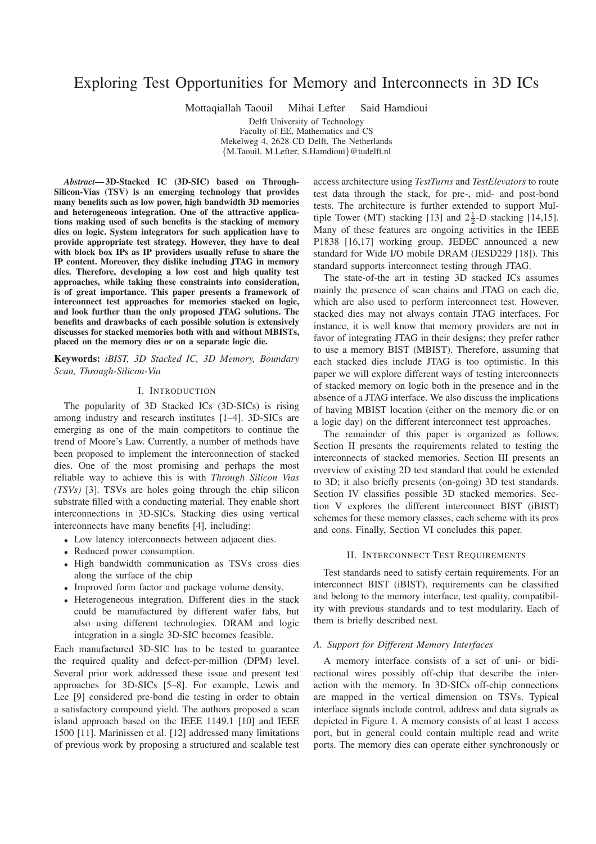# Exploring Test Opportunities for Memory and Interconnects in 3D ICs

Mottaqiallah Taouil Mihai Lefter Said Hamdioui

Delft University of Technology Faculty of EE, Mathematics and CS Mekelweg 4, 2628 CD Delft, The Netherlands {M.Taouil, M.Lefter, S.Hamdioui}@tudelft.nl

*Abstract***— 3D-Stacked IC (3D-SIC) based on Through-Silicon-Vias (TSV) is an emerging technology that provides many benefits such as low power, high bandwidth 3D memories and heterogeneous integration. One of the attractive applications making used of such benefits is the stacking of memory dies on logic. System integrators for such application have to provide appropriate test strategy. However, they have to deal with block box IPs as IP providers usually refuse to share the IP content. Moreover, they dislike including JTAG in memory dies. Therefore, developing a low cost and high quality test approaches, while taking these constraints into consideration, is of great importance. This paper presents a framework of interconnect test approaches for memories stacked on logic, and look further than the only proposed JTAG solutions. The benefits and drawbacks of each possible solution is extensively discusses for stacked memories both with and without MBISTs, placed on the memory dies or on a separate logic die.**

**Keywords:** *iBIST, 3D Stacked IC, 3D Memory, Boundary Scan, Through-Silicon-Via*

# I. INTRODUCTION

The popularity of 3D Stacked ICs (3D-SICs) is rising among industry and research institutes [1–4]. 3D-SICs are emerging as one of the main competitors to continue the trend of Moore's Law. Currently, a number of methods have been proposed to implement the interconnection of stacked dies. One of the most promising and perhaps the most reliable way to achieve this is with *Through Silicon Vias (TSVs)* [3]. TSVs are holes going through the chip silicon substrate filled with a conducting material. They enable short interconnections in 3D-SICs. Stacking dies using vertical interconnects have many benefits [4], including:

- Low latency interconnects between adjacent dies.
- Reduced power consumption.
- High bandwidth communication as TSVs cross dies along the surface of the chip
- Improved form factor and package volume density.
- Heterogeneous integration. Different dies in the stack could be manufactured by different wafer fabs, but also using different technologies. DRAM and logic integration in a single 3D-SIC becomes feasible.

Each manufactured 3D-SIC has to be tested to guarantee the required quality and defect-per-million (DPM) level. Several prior work addressed these issue and present test approaches for 3D-SICs [5–8]. For example, Lewis and Lee [9] considered pre-bond die testing in order to obtain a satisfactory compound yield. The authors proposed a scan island approach based on the IEEE 1149.1 [10] and IEEE 1500 [11]. Marinissen et al. [12] addressed many limitations of previous work by proposing a structured and scalable test access architecture using *TestTurns* and *TestElevators* to route test data through the stack, for pre-, mid- and post-bond tests. The architecture is further extended to support Multiple Tower (MT) stacking [13] and  $2\frac{1}{2}$ -D stacking [14,15]. Many of these features are ongoing activities in the IEEE P1838 [16,17] working group. JEDEC announced a new standard for Wide I/O mobile DRAM (JESD229 [18]). This standard supports interconnect testing through JTAG.

The state-of-the art in testing 3D stacked ICs assumes mainly the presence of scan chains and JTAG on each die, which are also used to perform interconnect test. However, stacked dies may not always contain JTAG interfaces. For instance, it is well know that memory providers are not in favor of integrating JTAG in their designs; they prefer rather to use a memory BIST (MBIST). Therefore, assuming that each stacked dies include JTAG is too optimistic. In this paper we will explore different ways of testing interconnects of stacked memory on logic both in the presence and in the absence of a JTAG interface. We also discuss the implications of having MBIST location (either on the memory die or on a logic day) on the different interconnect test approaches.

The remainder of this paper is organized as follows. Section II presents the requirements related to testing the interconnects of stacked memories. Section III presents an overview of existing 2D test standard that could be extended to 3D; it also briefly presents (on-going) 3D test standards. Section IV classifies possible 3D stacked memories. Section V explores the different interconnect BIST (iBIST) schemes for these memory classes, each scheme with its pros and cons. Finally, Section VI concludes this paper.

# II. INTERCONNECT TEST REQUIREMENTS

Test standards need to satisfy certain requirements. For an interconnect BIST (iBIST), requirements can be classified and belong to the memory interface, test quality, compatibility with previous standards and to test modularity. Each of them is briefly described next.

#### *A. Support for Different Memory Interfaces*

A memory interface consists of a set of uni- or bidirectional wires possibly off-chip that describe the interaction with the memory. In 3D-SICs off-chip connections are mapped in the vertical dimension on TSVs. Typical interface signals include control, address and data signals as depicted in Figure 1. A memory consists of at least 1 access port, but in general could contain multiple read and write ports. The memory dies can operate either synchronously or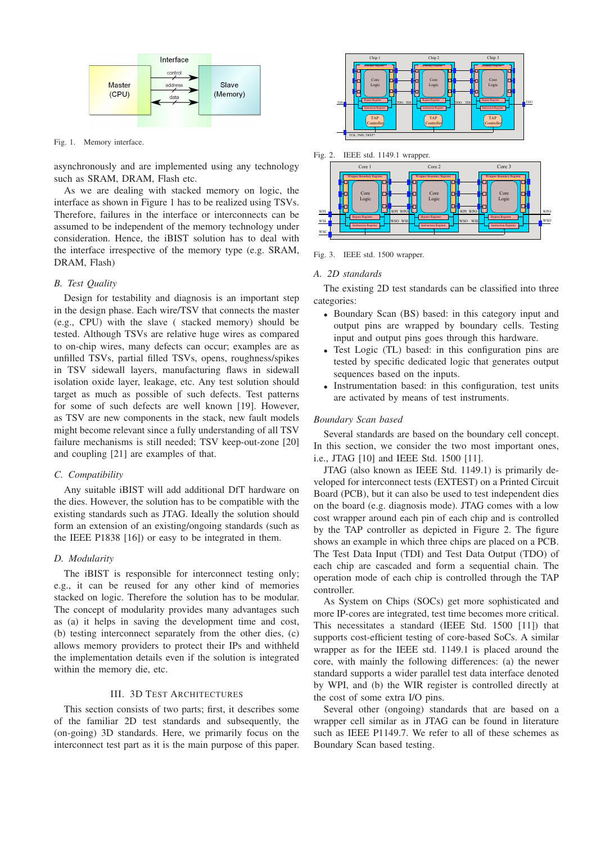

Fig. 1. Memory interface.

asynchronously and are implemented using any technology such as SRAM, DRAM, Flash etc.

As we are dealing with stacked memory on logic, the interface as shown in Figure 1 has to be realized using TSVs. Therefore, failures in the interface or interconnects can be assumed to be independent of the memory technology under consideration. Hence, the iBIST solution has to deal with the interface irrespective of the memory type (e.g. SRAM, DRAM, Flash)

# *B. Test Quality*

Design for testability and diagnosis is an important step in the design phase. Each wire/TSV that connects the master (e.g., CPU) with the slave ( stacked memory) should be tested. Although TSVs are relative huge wires as compared to on-chip wires, many defects can occur; examples are as unfilled TSVs, partial filled TSVs, opens, roughness/spikes in TSV sidewall layers, manufacturing flaws in sidewall isolation oxide layer, leakage, etc. Any test solution should target as much as possible of such defects. Test patterns for some of such defects are well known [19]. However, as TSV are new components in the stack, new fault models might become relevant since a fully understanding of all TSV failure mechanisms is still needed; TSV keep-out-zone [20] and coupling [21] are examples of that.

#### *C. Compatibility*

Any suitable iBIST will add additional DfT hardware on the dies. However, the solution has to be compatible with the existing standards such as JTAG. Ideally the solution should form an extension of an existing/ongoing standards (such as the IEEE P1838 [16]) or easy to be integrated in them.

# *D. Modularity*

The iBIST is responsible for interconnect testing only; e.g., it can be reused for any other kind of memories stacked on logic. Therefore the solution has to be modular. The concept of modularity provides many advantages such as (a) it helps in saving the development time and cost, (b) testing interconnect separately from the other dies, (c) allows memory providers to protect their IPs and withheld the implementation details even if the solution is integrated within the memory die, etc.

## III. 3D TEST ARCHITECTURES

This section consists of two parts; first, it describes some of the familiar 2D test standards and subsequently, the (on-going) 3D standards. Here, we primarily focus on the interconnect test part as it is the main purpose of this paper.





Fig. 3. IEEE std. 1500 wrapper.

#### *A. 2D standards*

The existing 2D test standards can be classified into three categories:

- Boundary Scan (BS) based: in this category input and output pins are wrapped by boundary cells. Testing input and output pins goes through this hardware.
- Test Logic (TL) based: in this configuration pins are tested by specific dedicated logic that generates output sequences based on the inputs.
- Instrumentation based: in this configuration, test units are activated by means of test instruments.

#### *Boundary Scan based*

Several standards are based on the boundary cell concept. In this section, we consider the two most important ones, i.e., JTAG [10] and IEEE Std. 1500 [11].

JTAG (also known as IEEE Std. 1149.1) is primarily developed for interconnect tests (EXTEST) on a Printed Circuit Board (PCB), but it can also be used to test independent dies on the board (e.g. diagnosis mode). JTAG comes with a low cost wrapper around each pin of each chip and is controlled by the TAP controller as depicted in Figure 2. The figure shows an example in which three chips are placed on a PCB. The Test Data Input (TDI) and Test Data Output (TDO) of each chip are cascaded and form a sequential chain. The operation mode of each chip is controlled through the TAP controller.

As System on Chips (SOCs) get more sophisticated and more IP-cores are integrated, test time becomes more critical. This necessitates a standard (IEEE Std. 1500 [11]) that supports cost-efficient testing of core-based SoCs. A similar wrapper as for the IEEE std. 1149.1 is placed around the core, with mainly the following differences: (a) the newer standard supports a wider parallel test data interface denoted by WPI, and (b) the WIR register is controlled directly at the cost of some extra I/O pins.

Several other (ongoing) standards that are based on a wrapper cell similar as in JTAG can be found in literature such as IEEE P1149.7. We refer to all of these schemes as Boundary Scan based testing.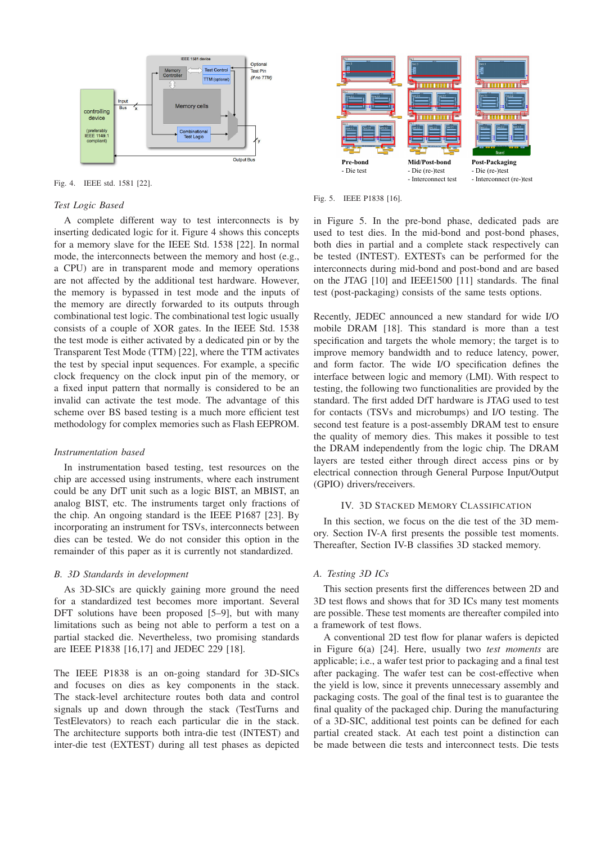

Fig. 4. IEEE std. 1581 [22].

# *Test Logic Based*

A complete different way to test interconnects is by inserting dedicated logic for it. Figure 4 shows this concepts for a memory slave for the IEEE Std. 1538 [22]. In normal mode, the interconnects between the memory and host (e.g., a CPU) are in transparent mode and memory operations are not affected by the additional test hardware. However, the memory is bypassed in test mode and the inputs of the memory are directly forwarded to its outputs through combinational test logic. The combinational test logic usually consists of a couple of XOR gates. In the IEEE Std. 1538 the test mode is either activated by a dedicated pin or by the Transparent Test Mode (TTM) [22], where the TTM activates the test by special input sequences. For example, a specific clock frequency on the clock input pin of the memory, or a fixed input pattern that normally is considered to be an invalid can activate the test mode. The advantage of this scheme over BS based testing is a much more efficient test methodology for complex memories such as Flash EEPROM.

#### *Instrumentation based*

In instrumentation based testing, test resources on the chip are accessed using instruments, where each instrument could be any DfT unit such as a logic BIST, an MBIST, an analog BIST, etc. The instruments target only fractions of the chip. An ongoing standard is the IEEE P1687 [23]. By incorporating an instrument for TSVs, interconnects between dies can be tested. We do not consider this option in the remainder of this paper as it is currently not standardized.

## *B. 3D Standards in development*

As 3D-SICs are quickly gaining more ground the need for a standardized test becomes more important. Several DFT solutions have been proposed [5–9], but with many limitations such as being not able to perform a test on a partial stacked die. Nevertheless, two promising standards are IEEE P1838 [16,17] and JEDEC 229 [18].

The IEEE P1838 is an on-going standard for 3D-SICs and focuses on dies as key components in the stack. The stack-level architecture routes both data and control signals up and down through the stack (TestTurns and TestElevators) to reach each particular die in the stack. The architecture supports both intra-die test (INTEST) and inter-die test (EXTEST) during all test phases as depicted



Fig. 5. IEEE P1838 [16].

in Figure 5. In the pre-bond phase, dedicated pads are used to test dies. In the mid-bond and post-bond phases, both dies in partial and a complete stack respectively can be tested (INTEST). EXTESTs can be performed for the interconnects during mid-bond and post-bond and are based on the JTAG [10] and IEEE1500 [11] standards. The final test (post-packaging) consists of the same tests options.

Recently, JEDEC announced a new standard for wide I/O mobile DRAM [18]. This standard is more than a test specification and targets the whole memory; the target is to improve memory bandwidth and to reduce latency, power, and form factor. The wide I/O specification defines the interface between logic and memory (LMI). With respect to testing, the following two functionalities are provided by the standard. The first added DfT hardware is JTAG used to test for contacts (TSVs and microbumps) and I/O testing. The second test feature is a post-assembly DRAM test to ensure the quality of memory dies. This makes it possible to test the DRAM independently from the logic chip. The DRAM layers are tested either through direct access pins or by electrical connection through General Purpose Input/Output (GPIO) drivers/receivers.

#### IV. 3D STACKED MEMORY CLASSIFICATION

In this section, we focus on the die test of the 3D memory. Section IV-A first presents the possible test moments. Thereafter, Section IV-B classifies 3D stacked memory.

## *A. Testing 3D ICs*

This section presents first the differences between 2D and 3D test flows and shows that for 3D ICs many test moments are possible. These test moments are thereafter compiled into a framework of test flows.

A conventional 2D test flow for planar wafers is depicted in Figure 6(a) [24]. Here, usually two *test moments* are applicable; i.e., a wafer test prior to packaging and a final test after packaging. The wafer test can be cost-effective when the yield is low, since it prevents unnecessary assembly and packaging costs. The goal of the final test is to guarantee the final quality of the packaged chip. During the manufacturing of a 3D-SIC, additional test points can be defined for each partial created stack. At each test point a distinction can be made between die tests and interconnect tests. Die tests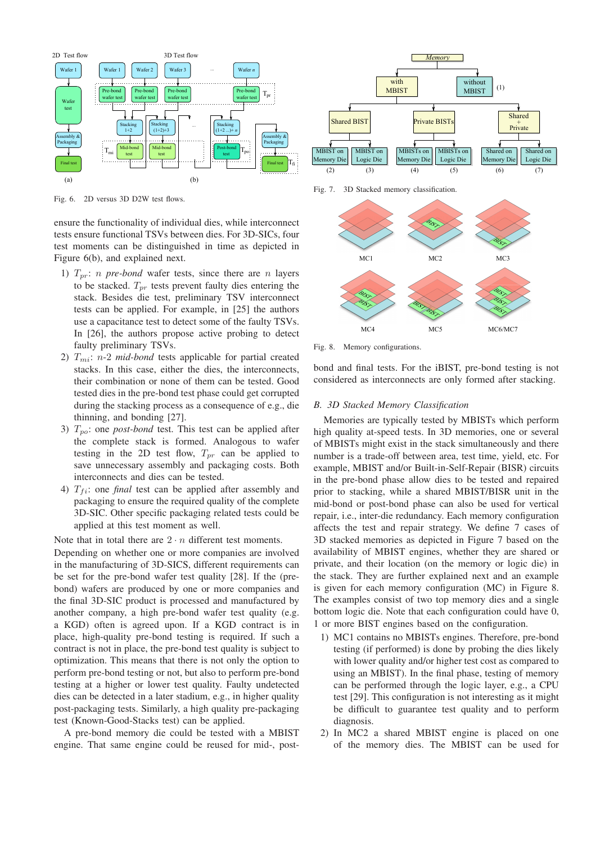

Fig. 6. 2D versus 3D D2W test flows.

ensure the functionality of individual dies, while interconnect tests ensure functional TSVs between dies. For 3D-SICs, four test moments can be distinguished in time as depicted in Figure 6(b), and explained next.

- 1)  $T_{pr}: n \text{ pre-bond water tests, since there are n layers}$ to be stacked.  $T_{pr}$  tests prevent faulty dies entering the stack. Besides die test, preliminary TSV interconnect tests can be applied. For example, in [25] the authors use a capacitance test to detect some of the faulty TSVs. In [26], the authors propose active probing to detect faulty preliminary TSVs.
- 2)  $T_{mi}: n-2$  *mid-bond* tests applicable for partial created stacks. In this case, either the dies, the interconnects, their combination or none of them can be tested. Good tested dies in the pre-bond test phase could get corrupted during the stacking process as a consequence of e.g., die thinning, and bonding [27].
- 3)  $T_{po}$ : one *post-bond* test. This test can be applied after the complete stack is formed. Analogous to wafer testing in the 2D test flow,  $T_{pr}$  can be applied to save unnecessary assembly and packaging costs. Both interconnects and dies can be tested.
- 4)  $T_{f_i}$ ; one *final* test can be applied after assembly and packaging to ensure the required quality of the complete 3D-SIC. Other specific packaging related tests could be applied at this test moment as well.

Note that in total there are  $2 \cdot n$  different test moments. Depending on whether one or more companies are involved in the manufacturing of 3D-SICS, different requirements can be set for the pre-bond wafer test quality [28]. If the (prebond) wafers are produced by one or more companies and the final 3D-SIC product is processed and manufactured by another company, a high pre-bond wafer test quality (e.g. a KGD) often is agreed upon. If a KGD contract is in place, high-quality pre-bond testing is required. If such a contract is not in place, the pre-bond test quality is subject to optimization. This means that there is not only the option to perform pre-bond testing or not, but also to perform pre-bond testing at a higher or lower test quality. Faulty undetected dies can be detected in a later stadium, e.g., in higher quality post-packaging tests. Similarly, a high quality pre-packaging test (Known-Good-Stacks test) can be applied.

A pre-bond memory die could be tested with a MBIST engine. That same engine could be reused for mid-, post-





Fig. 8. Memory configurations.

bond and final tests. For the iBIST, pre-bond testing is not considered as interconnects are only formed after stacking.

# *B. 3D Stacked Memory Classification*

Memories are typically tested by MBISTs which perform high quality at-speed tests. In 3D memories, one or several of MBISTs might exist in the stack simultaneously and there number is a trade-off between area, test time, yield, etc. For example, MBIST and/or Built-in-Self-Repair (BISR) circuits in the pre-bond phase allow dies to be tested and repaired prior to stacking, while a shared MBIST/BISR unit in the mid-bond or post-bond phase can also be used for vertical repair, i.e., inter-die redundancy. Each memory configuration affects the test and repair strategy. We define 7 cases of 3D stacked memories as depicted in Figure 7 based on the availability of MBIST engines, whether they are shared or private, and their location (on the memory or logic die) in the stack. They are further explained next and an example is given for each memory configuration (MC) in Figure 8. The examples consist of two top memory dies and a single bottom logic die. Note that each configuration could have 0, 1 or more BIST engines based on the configuration.

- 1) MC1 contains no MBISTs engines. Therefore, pre-bond testing (if performed) is done by probing the dies likely with lower quality and/or higher test cost as compared to using an MBIST). In the final phase, testing of memory can be performed through the logic layer, e.g., a CPU test [29]. This configuration is not interesting as it might be difficult to guarantee test quality and to perform diagnosis.
- 2) In MC2 a shared MBIST engine is placed on one of the memory dies. The MBIST can be used for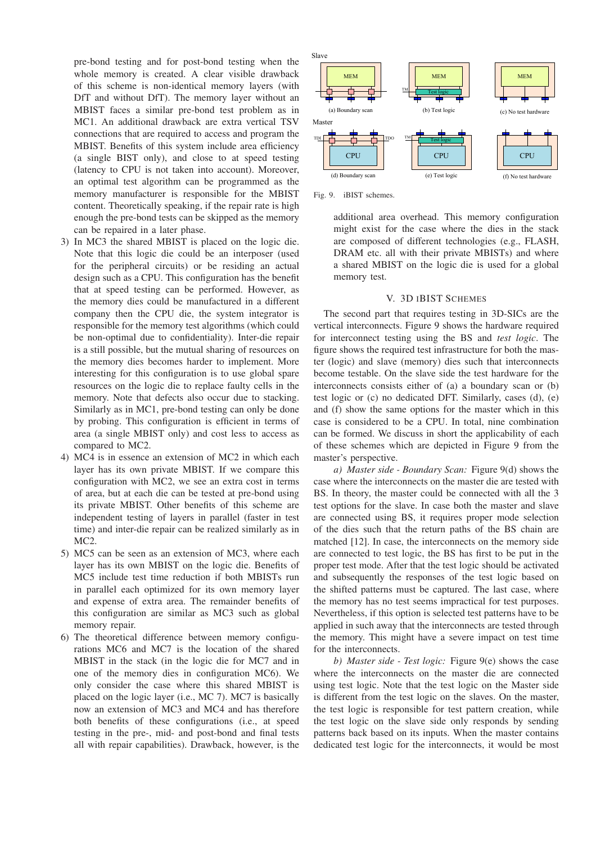pre-bond testing and for post-bond testing when the whole memory is created. A clear visible drawback of this scheme is non-identical memory layers (with DfT and without DfT). The memory layer without an MBIST faces a similar pre-bond test problem as in MC1. An additional drawback are extra vertical TSV connections that are required to access and program the MBIST. Benefits of this system include area efficiency (a single BIST only), and close to at speed testing (latency to CPU is not taken into account). Moreover, an optimal test algorithm can be programmed as the memory manufacturer is responsible for the MBIST content. Theoretically speaking, if the repair rate is high enough the pre-bond tests can be skipped as the memory can be repaired in a later phase.

- 3) In MC3 the shared MBIST is placed on the logic die. Note that this logic die could be an interposer (used for the peripheral circuits) or be residing an actual design such as a CPU. This configuration has the benefit that at speed testing can be performed. However, as the memory dies could be manufactured in a different company then the CPU die, the system integrator is responsible for the memory test algorithms (which could be non-optimal due to confidentiality). Inter-die repair is a still possible, but the mutual sharing of resources on the memory dies becomes harder to implement. More interesting for this configuration is to use global spare resources on the logic die to replace faulty cells in the memory. Note that defects also occur due to stacking. Similarly as in MC1, pre-bond testing can only be done by probing. This configuration is efficient in terms of area (a single MBIST only) and cost less to access as compared to MC2.
- 4) MC4 is in essence an extension of MC2 in which each layer has its own private MBIST. If we compare this configuration with MC2, we see an extra cost in terms of area, but at each die can be tested at pre-bond using its private MBIST. Other benefits of this scheme are independent testing of layers in parallel (faster in test time) and inter-die repair can be realized similarly as in MC2.
- 5) MC5 can be seen as an extension of MC3, where each layer has its own MBIST on the logic die. Benefits of MC5 include test time reduction if both MBISTs run in parallel each optimized for its own memory layer and expense of extra area. The remainder benefits of this configuration are similar as MC3 such as global memory repair.
- 6) The theoretical difference between memory configurations MC6 and MC7 is the location of the shared MBIST in the stack (in the logic die for MC7 and in one of the memory dies in configuration MC6). We only consider the case where this shared MBIST is placed on the logic layer (i.e., MC 7). MC7 is basically now an extension of MC3 and MC4 and has therefore both benefits of these configurations (i.e., at speed testing in the pre-, mid- and post-bond and final tests all with repair capabilities). Drawback, however, is the



Fig. 9. iBIST schemes.

additional area overhead. This memory configuration might exist for the case where the dies in the stack are composed of different technologies (e.g., FLASH, DRAM etc. all with their private MBISTs) and where a shared MBIST on the logic die is used for a global memory test.

# V. 3D IBIST SCHEMES

The second part that requires testing in 3D-SICs are the vertical interconnects. Figure 9 shows the hardware required for interconnect testing using the BS and *test logic*. The figure shows the required test infrastructure for both the master (logic) and slave (memory) dies such that interconnects become testable. On the slave side the test hardware for the interconnects consists either of (a) a boundary scan or (b) test logic or (c) no dedicated DFT. Similarly, cases (d), (e) and (f) show the same options for the master which in this case is considered to be a CPU. In total, nine combination can be formed. We discuss in short the applicability of each of these schemes which are depicted in Figure 9 from the master's perspective.

*a) Master side - Boundary Scan:* Figure 9(d) shows the case where the interconnects on the master die are tested with BS. In theory, the master could be connected with all the 3 test options for the slave. In case both the master and slave are connected using BS, it requires proper mode selection of the dies such that the return paths of the BS chain are matched [12]. In case, the interconnects on the memory side are connected to test logic, the BS has first to be put in the proper test mode. After that the test logic should be activated and subsequently the responses of the test logic based on the shifted patterns must be captured. The last case, where the memory has no test seems impractical for test purposes. Nevertheless, if this option is selected test patterns have to be applied in such away that the interconnects are tested through the memory. This might have a severe impact on test time for the interconnects.

*b) Master side - Test logic:* Figure 9(e) shows the case where the interconnects on the master die are connected using test logic. Note that the test logic on the Master side is different from the test logic on the slaves. On the master, the test logic is responsible for test pattern creation, while the test logic on the slave side only responds by sending patterns back based on its inputs. When the master contains dedicated test logic for the interconnects, it would be most